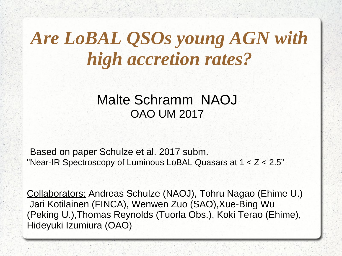# *Are LoBAL QSOs young AGN with high accretion rates?*

#### Malte Schramm NAOJ OAO UM 2017

Based on paper Schulze et al. 2017 subm. "Near-IR Spectroscopy of Luminous LoBAL Quasars at 1 < Z < 2.5"

Collaborators: Andreas Schulze (NAOJ), Tohru Nagao (Ehime U.) Jari Kotilainen (FINCA), Wenwen Zuo (SAO),Xue-Bing Wu (Peking U.),Thomas Reynolds (Tuorla Obs.), Koki Terao (Ehime), Hideyuki Izumiura (OAO)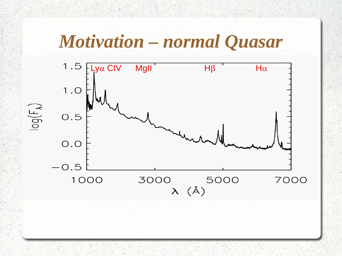#### **Motivation - normal Quasar**

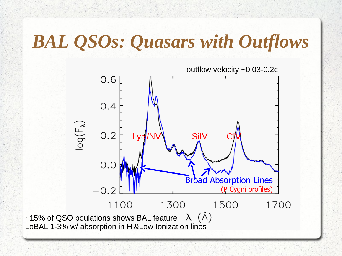### *BAL QSOs: Quasars with Outflows*

outflow velocity ~0.03-0.2c  $0.6$  $0.4$  $\log(\mathsf{F}_{\lambda})$  $0.2$  Lyd/NV SiIV  $0.0$ **Broad Absorption Lines** (P Cygni profiles)  $-0.2$ 1100 1300 1500 1700 ~15% of QSO poulations shows BAL feature  $\lambda$  ( $\check{A}$ ) LoBAL 1-3% w/ absorption in Hi&Low Ionization lines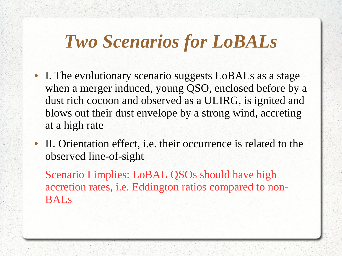### *Two Scenarios for LoBALs*

- I. The evolutionary scenario suggests LoBALs as a stage when a merger induced, young QSO, enclosed before by a dust rich cocoon and observed as a ULIRG, is ignited and blows out their dust envelope by a strong wind, accreting at a high rate
- II. Orientation effect, i.e. their occurrence is related to the observed line-of-sight

Scenario I implies: LoBAL QSOs should have high accretion rates, i.e. Eddington ratios compared to non-BALs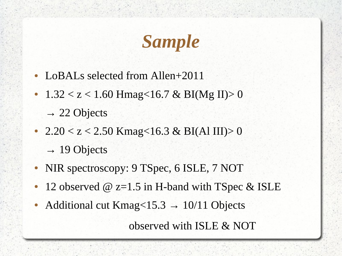# *Sample*

- LoBALs selected from Allen+2011
- $1.32 < z < 1.60$  Hmag<16.7 & BI(Mg II)> 0

 $\rightarrow$  22 Objects

- 2.20  $\le$  z  $\le$  2.50 Kmag $\le$ 16.3 & BI(Al III) $>$  0  $\rightarrow$  19 Objects
- NIR spectroscopy: 9 TSpec, 6 ISLE, 7 NOT
- 12 observed  $\omega$  z=1.5 in H-band with TSpec & ISLE
- Additional cut Kmag<15.3  $\rightarrow$  10/11 Objects

observed with ISLE & NOT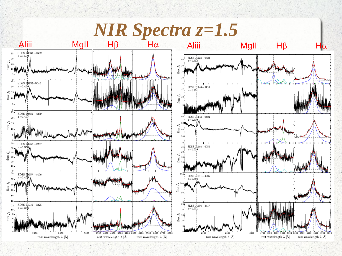**NIR Spectra z=1.5** 





**MgII** 

 $H\beta$ 

 $|\alpha|$ г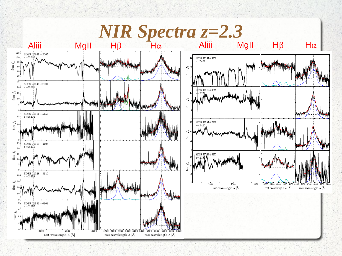# $NIR$  Spectra  $z=2.3$

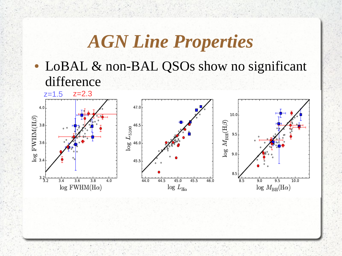#### *AGN Line Properties*

• LoBAL & non-BAL QSOs show no significant difference

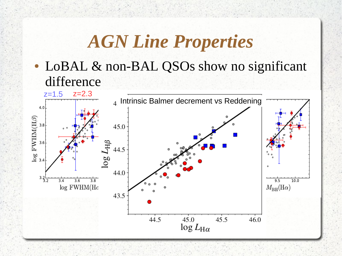#### *AGN Line Properties*

• LoBAL & non-BAL QSOs show no significant difference

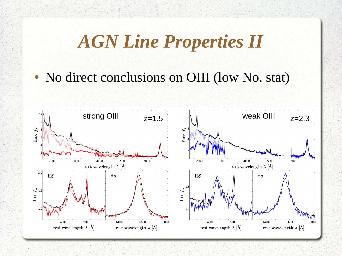### *AGN Line Properties II*

• No direct conclusions on OIII (low No. stat)

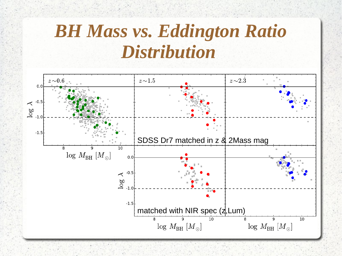# *BH Mass vs. Eddington Ratio Distribution*

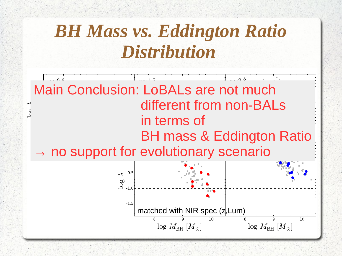# *BH Mass vs. Eddington Ratio Distribution*

 $\sim$  0  $\epsilon$  $\sim$  1 F  $\sim$  0. $\bar{2}$ Main Conclusion: LoBALs are not much different from non-BALs in terms of **SOSS DR7 mass & Eddington Ratio**  $\rightarrow$  no support for evolutionary scenario  $\sim$   $-0.5$  $\overline{\overset{00}{0}}$  -1.0  $-1.5$ matched with NIR spec  $(\frac{1}{4}, Lum)$ 10 8 10  $\log M_{\rm BH}$  [M<sub>o</sub>]  $\log M_{\rm BH}$   $[M_{\odot}]$